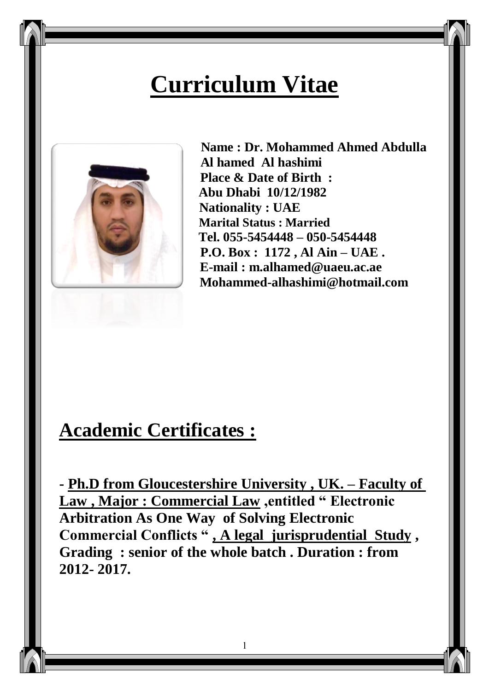# **Curriculum Vitae**



 **Name : Dr. Mohammed Ahmed Abdulla Al hamed Al hashimi Place & Date of Birth : Abu Dhabi 10/12/1982 Nationality : UAE Marital Status : Married Tel. 055-5454448 – 050-5454448 P.O. Box : 1172 , Al Ain – UAE . E-mail : [m.alhamed@uaeu.ac.ae](mailto:m.alhamed@uaeu.ac.ae)  [Mohammed-alhashimi@hotmail.com](mailto:Mohammed-alhashimi@hotmail.com)**

## **Academic Certificates :**

**- Ph.D from Gloucestershire University , UK. – Faculty of Law , Major : Commercial Law ,entitled " Electronic Arbitration As One Way of Solving Electronic Commercial Conflicts " , A legal jurisprudential Study , Grading : senior of the whole batch . Duration : from 2012- 2017.** 

1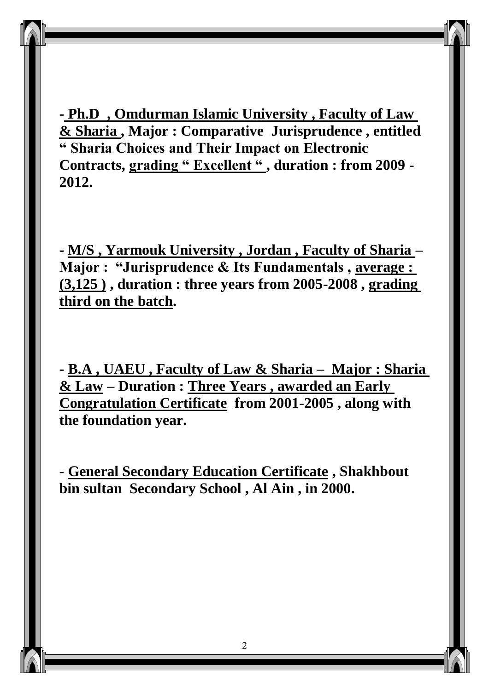**- Ph.D , Omdurman Islamic University , Faculty of Law & Sharia , Major : Comparative Jurisprudence , entitled " Sharia Choices and Their Impact on Electronic Contracts, grading " Excellent " , duration : from 2009 - 2012.**

**- M/S , Yarmouk University , Jordan , Faculty of Sharia – Major : "Jurisprudence & Its Fundamentals , average : (3,125 ) , duration : three years from 2005-2008 , grading third on the batch.**

**- B.A , UAEU , Faculty of Law & Sharia – Major : Sharia & Law – Duration : Three Years , awarded an Early Congratulation Certificate from 2001-2005 , along with the foundation year.** 

**- General Secondary Education Certificate , Shakhbout bin sultan Secondary School , Al Ain , in 2000.**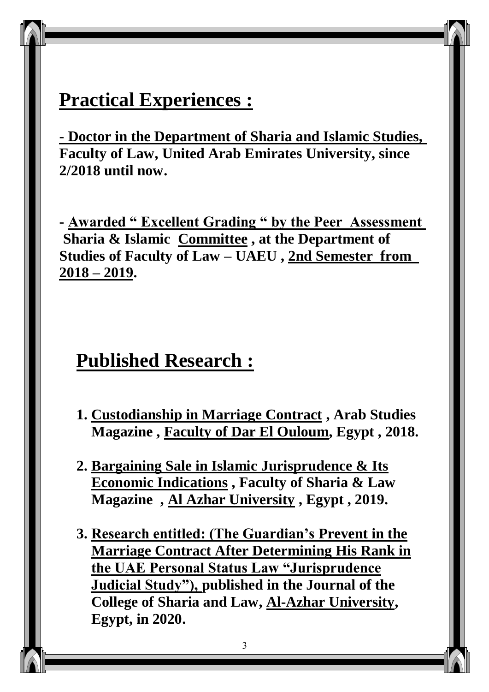## **Practical Experiences :**

**- Doctor in the Department of Sharia and Islamic Studies, Faculty of Law, United Arab Emirates University, since 2/2018 until now.**

**- Awarded " Excellent Grading " by the Peer Assessment Sharia & Islamic Committee , at the Department of Studies of Faculty of Law – UAEU , 2nd Semester from 2018 – 2019.** 

## **Published Research :**

- **1. Custodianship in Marriage Contract , Arab Studies Magazine , Faculty of Dar El Ouloum, Egypt , 2018.**
- **2. Bargaining Sale in Islamic Jurisprudence & Its Economic Indications , Faculty of Sharia & Law Magazine , Al Azhar University , Egypt , 2019.**
- **3. Research entitled: (The Guardian's Prevent in the Marriage Contract After Determining His Rank in the UAE Personal Status Law "Jurisprudence Judicial Study"), published in the Journal of the College of Sharia and Law, Al-Azhar University, Egypt, in 2020.**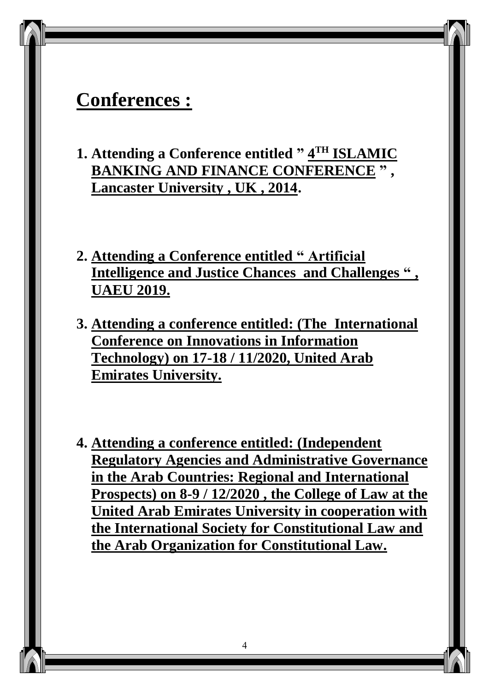## **Conferences :**

- **1. Attending a Conference entitled " 4 TH ISLAMIC BANKING AND FINANCE CONFERENCE " , Lancaster University , UK , 2014.**
- **2. Attending a Conference entitled " Artificial Intelligence and Justice Chances and Challenges " , UAEU 2019.**
- **3. Attending a conference entitled: (The International Conference on Innovations in Information Technology) on 17-18 / 11/2020, United Arab Emirates University.**
- **4. Attending a conference entitled: (Independent Regulatory Agencies and Administrative Governance in the Arab Countries: Regional and International Prospects) on 8-9 / 12/2020 , the College of Law at the United Arab Emirates University in cooperation with the International Society for Constitutional Law and the Arab Organization for Constitutional Law.**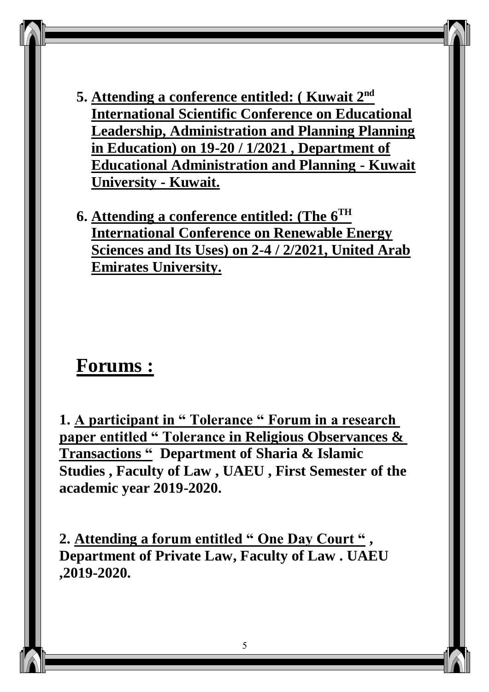- **5. Attending a conference entitled: ( Kuwait 2 nd International Scientific Conference on Educational Leadership, Administration and Planning Planning in Education) on 19-20 / 1/2021 , Department of Educational Administration and Planning - Kuwait University - Kuwait.**
- **6. Attending a conference entitled: (The 6 TH International Conference on Renewable Energy Sciences and Its Uses) on 2-4 / 2/2021, United Arab Emirates University.**

#### **Forums :**

**1. A participant in " Tolerance " Forum in a research paper entitled " Tolerance in Religious Observances & Transactions " Department of Sharia & Islamic Studies , Faculty of Law , UAEU , First Semester of the academic year 2019-2020.** 

**2. Attending a forum entitled " One Day Court " , Department of Private Law, Faculty of Law . UAEU ,2019-2020.**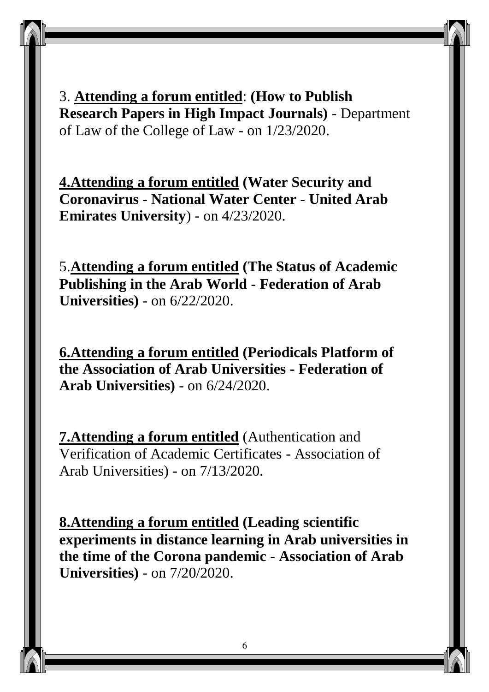3. **Attending a forum entitled**: **(How to Publish Research Papers in High Impact Journals)** - Department of Law of the College of Law - on 1/23/2020.

**4.Attending a forum entitled (Water Security and Coronavirus - National Water Center - United Arab Emirates University**) - on 4/23/2020.

5.**Attending a forum entitled (The Status of Academic Publishing in the Arab World - Federation of Arab Universities)** - on 6/22/2020.

**6.Attending a forum entitled (Periodicals Platform of the Association of Arab Universities - Federation of Arab Universities)** - on 6/24/2020.

**7.Attending a forum entitled** (Authentication and Verification of Academic Certificates - Association of Arab Universities) - on 7/13/2020.

**8.Attending a forum entitled (Leading scientific experiments in distance learning in Arab universities in the time of the Corona pandemic - Association of Arab Universities)** - on 7/20/2020.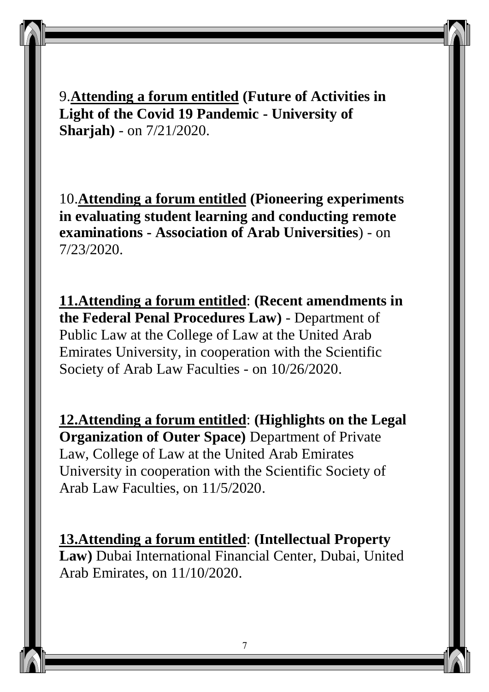9.**Attending a forum entitled (Future of Activities in Light of the Covid 19 Pandemic - University of Sharjah)** - on 7/21/2020.

10.**Attending a forum entitled (Pioneering experiments in evaluating student learning and conducting remote examinations - Association of Arab Universities**) - on 7/23/2020.

**11.Attending a forum entitled**: **(Recent amendments in the Federal Penal Procedures Law)** - Department of Public Law at the College of Law at the United Arab Emirates University, in cooperation with the Scientific Society of Arab Law Faculties - on 10/26/2020.

**12.Attending a forum entitled**: **(Highlights on the Legal Organization of Outer Space)** Department of Private Law, College of Law at the United Arab Emirates University in cooperation with the Scientific Society of Arab Law Faculties, on 11/5/2020.

**13.Attending a forum entitled**: **(Intellectual Property Law)** Dubai International Financial Center, Dubai, United Arab Emirates, on 11/10/2020.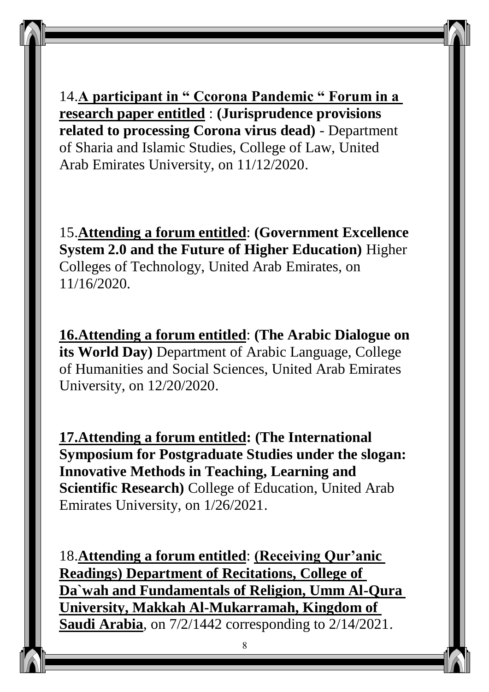14.**A participant in " Ccorona Pandemic " Forum in a research paper entitled** : **(Jurisprudence provisions related to processing Corona virus dead)** - Department of Sharia and Islamic Studies, College of Law, United Arab Emirates University, on 11/12/2020.

15.**Attending a forum entitled**: **(Government Excellence System 2.0 and the Future of Higher Education)** Higher Colleges of Technology, United Arab Emirates, on 11/16/2020.

**16.Attending a forum entitled**: **(The Arabic Dialogue on its World Day)** Department of Arabic Language, College of Humanities and Social Sciences, United Arab Emirates University, on 12/20/2020.

**17.Attending a forum entitled: (The International Symposium for Postgraduate Studies under the slogan: Innovative Methods in Teaching, Learning and Scientific Research)** College of Education, United Arab Emirates University, on 1/26/2021.

18.**Attending a forum entitled**: **(Receiving Qur'anic Readings) Department of Recitations, College of Da`wah and Fundamentals of Religion, Umm Al-Qura University, Makkah Al-Mukarramah, Kingdom of Saudi Arabia**, on 7/2/1442 corresponding to 2/14/2021.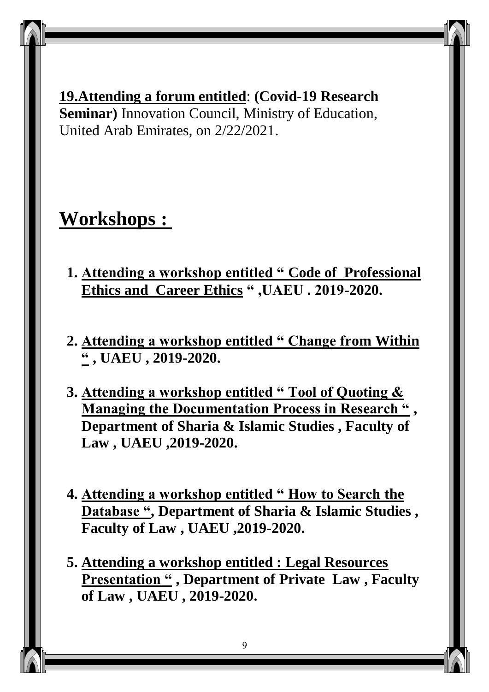**19.Attending a forum entitled**: **(Covid-19 Research Seminar)** Innovation Council, Ministry of Education, United Arab Emirates, on 2/22/2021.

## **Workshops :**

- **1. Attending a workshop entitled " Code of Professional Ethics and Career Ethics " ,UAEU . 2019-2020.**
- **2. Attending a workshop entitled " Change from Within " , UAEU , 2019-2020.**
- **3. Attending a workshop entitled " Tool of Quoting & Managing the Documentation Process in Research " , Department of Sharia & Islamic Studies , Faculty of Law , UAEU ,2019-2020.**
- **4. Attending a workshop entitled " How to Search the Database ", Department of Sharia & Islamic Studies , Faculty of Law , UAEU ,2019-2020.**
- **5. Attending a workshop entitled : Legal Resources Presentation " , Department of Private Law , Faculty of Law , UAEU , 2019-2020.**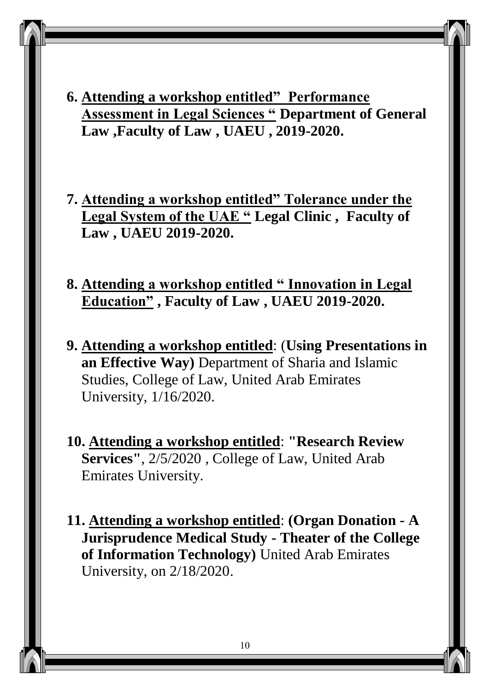- **6. Attending a workshop entitled" Performance Assessment in Legal Sciences " Department of General Law ,Faculty of Law , UAEU , 2019-2020.**
- **7. Attending a workshop entitled" Tolerance under the Legal System of the UAE " Legal Clinic , Faculty of Law , UAEU 2019-2020.**
- **8. Attending a workshop entitled " Innovation in Legal Education" , Faculty of Law , UAEU 2019-2020.**
- **9. Attending a workshop entitled**: (**Using Presentations in an Effective Way)** Department of Sharia and Islamic Studies, College of Law, United Arab Emirates University, 1/16/2020.
- **10. Attending a workshop entitled**: **"Research Review Services"**, 2/5/2020 , College of Law, United Arab Emirates University.
- **11. Attending a workshop entitled**: **(Organ Donation - A Jurisprudence Medical Study - Theater of the College of Information Technology)** United Arab Emirates University, on 2/18/2020.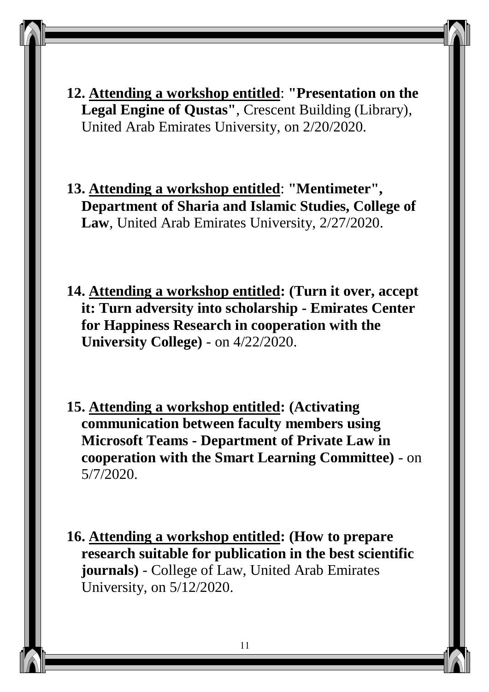- **12. Attending a workshop entitled**: **"Presentation on the Legal Engine of Qustas"**, Crescent Building (Library), United Arab Emirates University, on 2/20/2020.
- **13. Attending a workshop entitled**: **"Mentimeter", Department of Sharia and Islamic Studies, College of Law**, United Arab Emirates University, 2/27/2020.
- **14. Attending a workshop entitled: (Turn it over, accept it: Turn adversity into scholarship - Emirates Center for Happiness Research in cooperation with the University College)** - on 4/22/2020.
- **15. Attending a workshop entitled: (Activating communication between faculty members using Microsoft Teams - Department of Private Law in cooperation with the Smart Learning Committee)** - on 5/7/2020.
- **16. Attending a workshop entitled: (How to prepare research suitable for publication in the best scientific journals)** - College of Law, United Arab Emirates University, on 5/12/2020.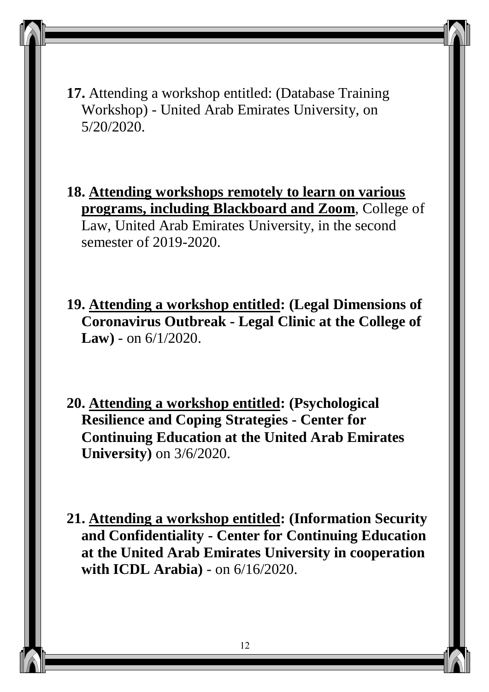**17.** Attending a workshop entitled: (Database Training Workshop) - United Arab Emirates University, on 5/20/2020.

**18. Attending workshops remotely to learn on various programs, including Blackboard and Zoom**, College of Law, United Arab Emirates University, in the second semester of 2019-2020.

**19. Attending a workshop entitled: (Legal Dimensions of Coronavirus Outbreak - Legal Clinic at the College of Law)** - on 6/1/2020.

**20. Attending a workshop entitled: (Psychological Resilience and Coping Strategies - Center for Continuing Education at the United Arab Emirates University)** on 3/6/2020.

**21. Attending a workshop entitled: (Information Security and Confidentiality - Center for Continuing Education at the United Arab Emirates University in cooperation with ICDL Arabia)** - on 6/16/2020.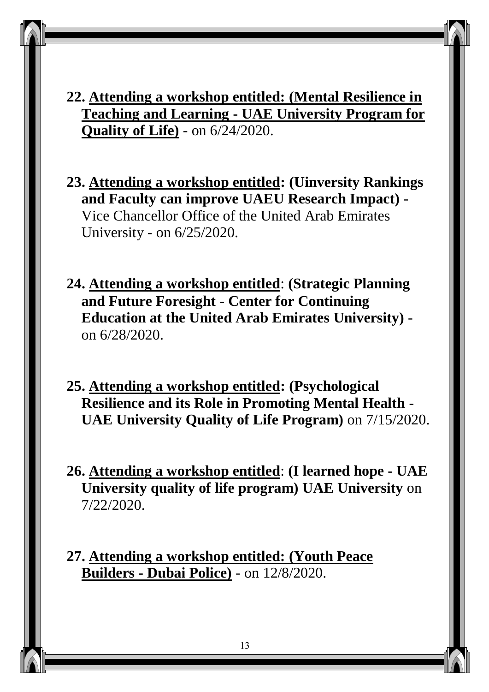**22. Attending a workshop entitled: (Mental Resilience in Teaching and Learning - UAE University Program for Quality of Life)** - on 6/24/2020.

**23. Attending a workshop entitled: (Uinversity Rankings and Faculty can improve UAEU Research Impact)** - Vice Chancellor Office of the United Arab Emirates University - on 6/25/2020.

**24. Attending a workshop entitled**: **(Strategic Planning and Future Foresight - Center for Continuing Education at the United Arab Emirates University)** on 6/28/2020.

**25. Attending a workshop entitled: (Psychological Resilience and its Role in Promoting Mental Health - UAE University Quality of Life Program)** on 7/15/2020.

**26. Attending a workshop entitled**: **(I learned hope - UAE University quality of life program) UAE University** on 7/22/2020.

**27. Attending a workshop entitled: (Youth Peace Builders - Dubai Police)** - on 12/8/2020.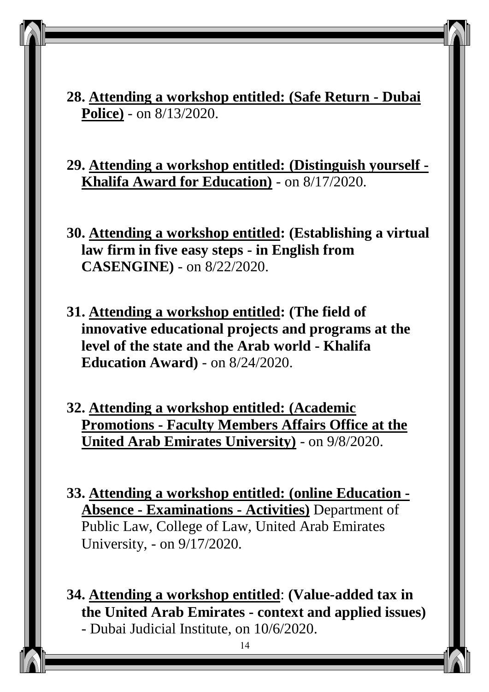**28. Attending a workshop entitled: (Safe Return - Dubai Police)** - on 8/13/2020.

**29. Attending a workshop entitled: (Distinguish yourself - Khalifa Award for Education)** - on 8/17/2020.

**30. Attending a workshop entitled: (Establishing a virtual law firm in five easy steps - in English from CASENGINE)** - on 8/22/2020.

**31. Attending a workshop entitled: (The field of innovative educational projects and programs at the level of the state and the Arab world - Khalifa Education Award)** - on 8/24/2020.

**32. Attending a workshop entitled: (Academic Promotions - Faculty Members Affairs Office at the United Arab Emirates University)** - on 9/8/2020.

**33. Attending a workshop entitled: (online Education - Absence - Examinations - Activities)** Department of Public Law, College of Law, United Arab Emirates University, - on 9/17/2020.

**34. Attending a workshop entitled**: **(Value-added tax in the United Arab Emirates - context and applied issues)** - Dubai Judicial Institute, on 10/6/2020.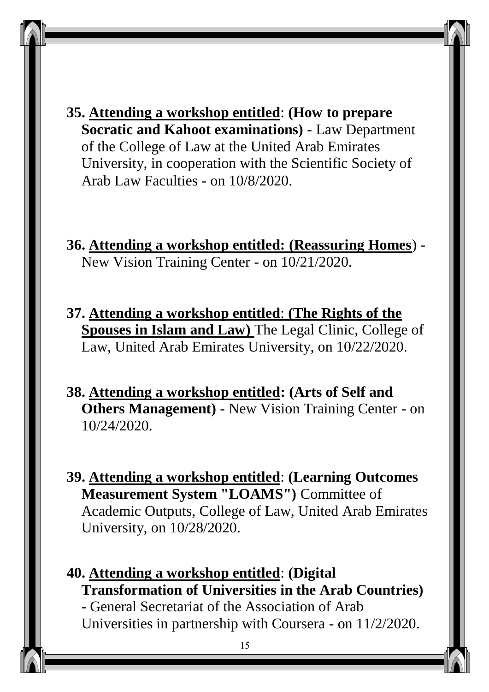**35. Attending a workshop entitled**: **(How to prepare Socratic and Kahoot examinations)** - Law Department of the College of Law at the United Arab Emirates University, in cooperation with the Scientific Society of Arab Law Faculties - on 10/8/2020.

**36. Attending a workshop entitled: (Reassuring Homes**) - New Vision Training Center - on 10/21/2020.

**37. Attending a workshop entitled**: **(The Rights of the Spouses in Islam and Law)** The Legal Clinic, College of Law, United Arab Emirates University, on 10/22/2020.

**38. Attending a workshop entitled: (Arts of Self and Others Management)** - New Vision Training Center - on 10/24/2020.

**39. Attending a workshop entitled**: **(Learning Outcomes Measurement System "LOAMS")** Committee of Academic Outputs, College of Law, United Arab Emirates University, on 10/28/2020.

**40. Attending a workshop entitled**: **(Digital Transformation of Universities in the Arab Countries)** - General Secretariat of the Association of Arab Universities in partnership with Coursera - on 11/2/2020.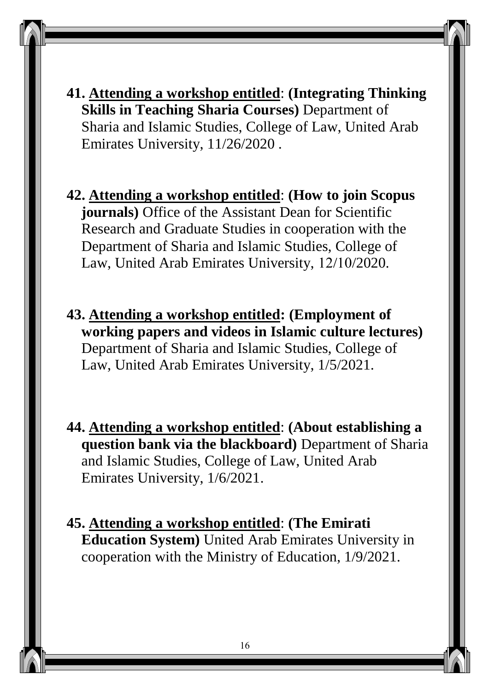**41. Attending a workshop entitled**: **(Integrating Thinking Skills in Teaching Sharia Courses)** Department of Sharia and Islamic Studies, College of Law, United Arab Emirates University, 11/26/2020 .

**42. Attending a workshop entitled**: **(How to join Scopus journals**) Office of the Assistant Dean for Scientific Research and Graduate Studies in cooperation with the Department of Sharia and Islamic Studies, College of Law, United Arab Emirates University, 12/10/2020.

- **43. Attending a workshop entitled: (Employment of working papers and videos in Islamic culture lectures)** Department of Sharia and Islamic Studies, College of Law, United Arab Emirates University, 1/5/2021.
- **44. Attending a workshop entitled**: **(About establishing a question bank via the blackboard)** Department of Sharia and Islamic Studies, College of Law, United Arab Emirates University, 1/6/2021.

**45. Attending a workshop entitled**: **(The Emirati Education System)** United Arab Emirates University in cooperation with the Ministry of Education, 1/9/2021.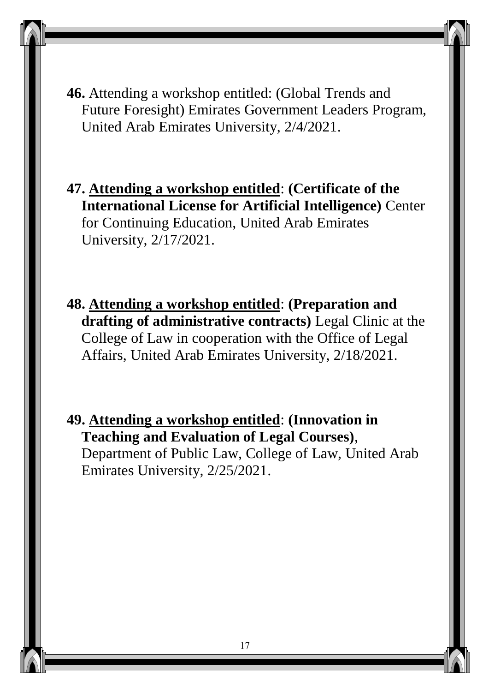**46.** Attending a workshop entitled: (Global Trends and Future Foresight) Emirates Government Leaders Program, United Arab Emirates University, 2/4/2021.

**47. Attending a workshop entitled**: **(Certificate of the International License for Artificial Intelligence)** Center for Continuing Education, United Arab Emirates University, 2/17/2021.

**48. Attending a workshop entitled**: **(Preparation and drafting of administrative contracts)** Legal Clinic at the College of Law in cooperation with the Office of Legal Affairs, United Arab Emirates University, 2/18/2021.

**49. Attending a workshop entitled**: **(Innovation in Teaching and Evaluation of Legal Courses)**, Department of Public Law, College of Law, United Arab Emirates University, 2/25/2021.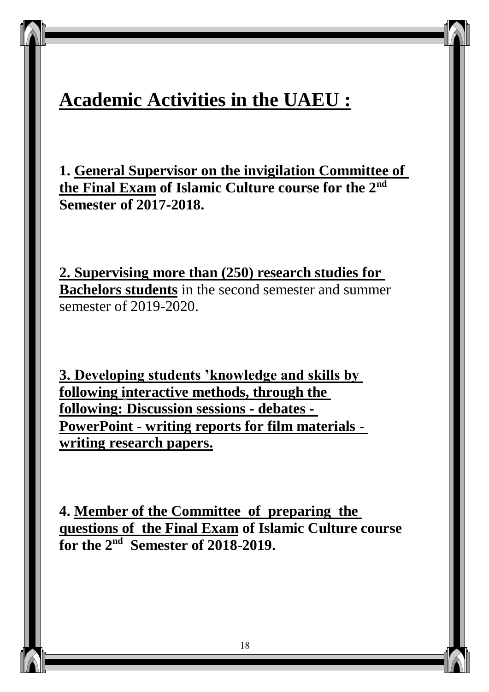## **Academic Activities in the UAEU :**

**1. General Supervisor on the invigilation Committee of the Final Exam** of Islamic Culture course for the 2<sup>nd</sup> **Semester of 2017-2018.**

**2. Supervising more than (250) research studies for Bachelors students** in the second semester and summer semester of 2019-2020.

**3. Developing students 'knowledge and skills by following interactive methods, through the following: Discussion sessions - debates - PowerPoint - writing reports for film materials writing research papers.**

**4. Member of the Committee of preparing the questions of the Final Exam of Islamic Culture course**  for the 2<sup>nd</sup> Semester of 2018-2019.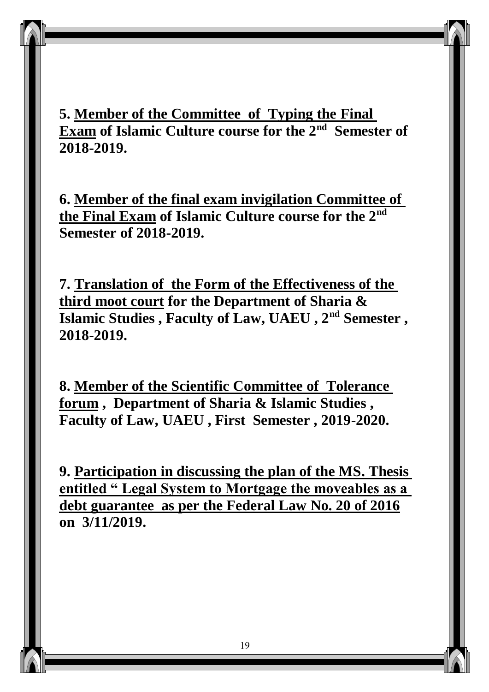**5. Member of the Committee of Typing the Final Exam of Islamic Culture course for the 2<sup>nd</sup> Semester of 2018-2019.**

**6. Member of the final exam invigilation Committee of the Final Exam** of Islamic Culture course for the 2<sup>nd</sup> **Semester of 2018-2019.**

**7. Translation of the Form of the Effectiveness of the third moot court for the Department of Sharia & Islamic Studies , Faculty of Law, UAEU , 2<sup>nd</sup> Semester, 2018-2019.**

**8. Member of the Scientific Committee of Tolerance forum , Department of Sharia & Islamic Studies , Faculty of Law, UAEU , First Semester , 2019-2020.**

**9. Participation in discussing the plan of the MS. Thesis entitled " Legal System to Mortgage the moveables as a debt guarantee as per the Federal Law No. 20 of 2016 on 3/11/2019.**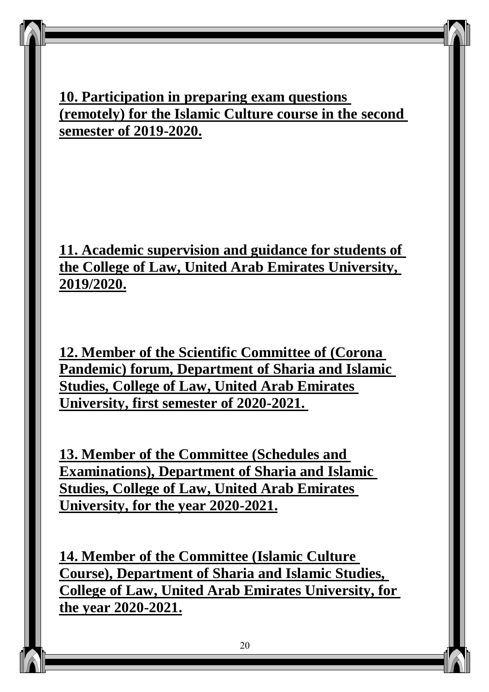#### **10. Participation in preparing exam questions (remotely) for the Islamic Culture course in the second semester of 2019-2020.**

**11. Academic supervision and guidance for students of the College of Law, United Arab Emirates University, 2019/2020.**

**12. Member of the Scientific Committee of (Corona Pandemic) forum, Department of Sharia and Islamic Studies, College of Law, United Arab Emirates University, first semester of 2020-2021.** 

**13. Member of the Committee (Schedules and Examinations), Department of Sharia and Islamic Studies, College of Law, United Arab Emirates University, for the year 2020-2021.**

**14. Member of the Committee (Islamic Culture Course), Department of Sharia and Islamic Studies, College of Law, United Arab Emirates University, for the year 2020-2021.**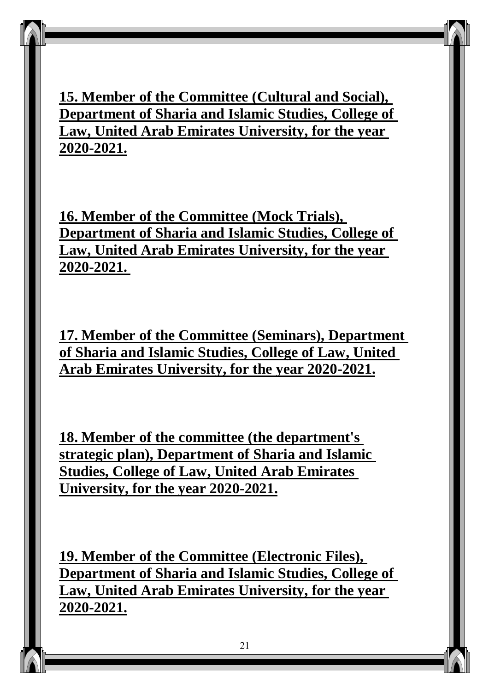**15. Member of the Committee (Cultural and Social), Department of Sharia and Islamic Studies, College of Law, United Arab Emirates University, for the year 2020-2021.**

**16. Member of the Committee (Mock Trials), Department of Sharia and Islamic Studies, College of Law, United Arab Emirates University, for the year 2020-2021.** 

**17. Member of the Committee (Seminars), Department of Sharia and Islamic Studies, College of Law, United Arab Emirates University, for the year 2020-2021.**

**18. Member of the committee (the department's strategic plan), Department of Sharia and Islamic Studies, College of Law, United Arab Emirates University, for the year 2020-2021.**

**19. Member of the Committee (Electronic Files), Department of Sharia and Islamic Studies, College of Law, United Arab Emirates University, for the year 2020-2021.**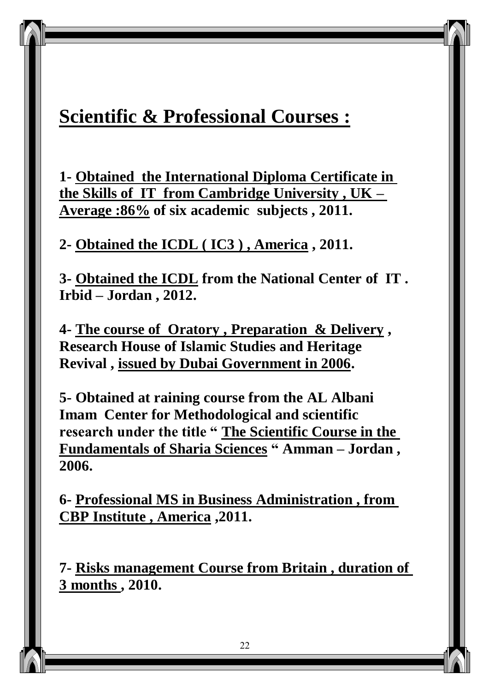## **Scientific & Professional Courses :**

**1- Obtained the International Diploma Certificate in the Skills of IT from Cambridge University , UK – Average :86% of six academic subjects , 2011.**

#### **2- Obtained the ICDL ( IC3 ) , America , 2011.**

**3- Obtained the ICDL from the National Center of IT . Irbid – Jordan , 2012.**

**4- The course of Oratory , Preparation & Delivery , Research House of Islamic Studies and Heritage Revival , issued by Dubai Government in 2006.**

**5- Obtained at raining course from the AL Albani Imam Center for Methodological and scientific research under the title " The Scientific Course in the Fundamentals of Sharia Sciences " Amman – Jordan , 2006.**

**6- Professional MS in Business Administration , from CBP Institute , America ,2011.**

**7- Risks management Course from Britain , duration of 3 months , 2010.**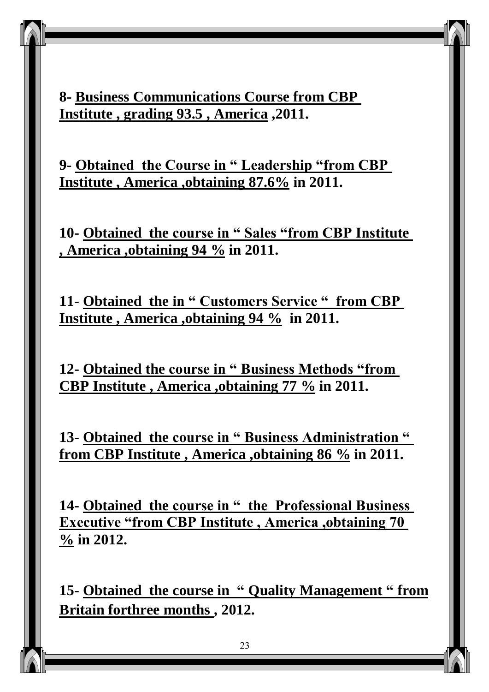**8- Business Communications Course from CBP Institute , grading 93.5 , America ,2011.**

**9- Obtained the Course in " Leadership "from CBP Institute , America ,obtaining 87.6% in 2011.** 

**10- Obtained the course in " Sales "from CBP Institute , America ,obtaining 94 % in 2011.**

**11- Obtained the in " Customers Service " from CBP Institute , America ,obtaining 94 % in 2011.**

**12- Obtained the course in " Business Methods "from CBP Institute , America ,obtaining 77 % in 2011.**

**13- Obtained the course in " Business Administration " from CBP Institute , America ,obtaining 86 % in 2011.**

**14- Obtained the course in " the Professional Business Executive "from CBP Institute , America ,obtaining 70 % in 2012.**

**15- Obtained the course in " Quality Management " from Britain forthree months , 2012.**